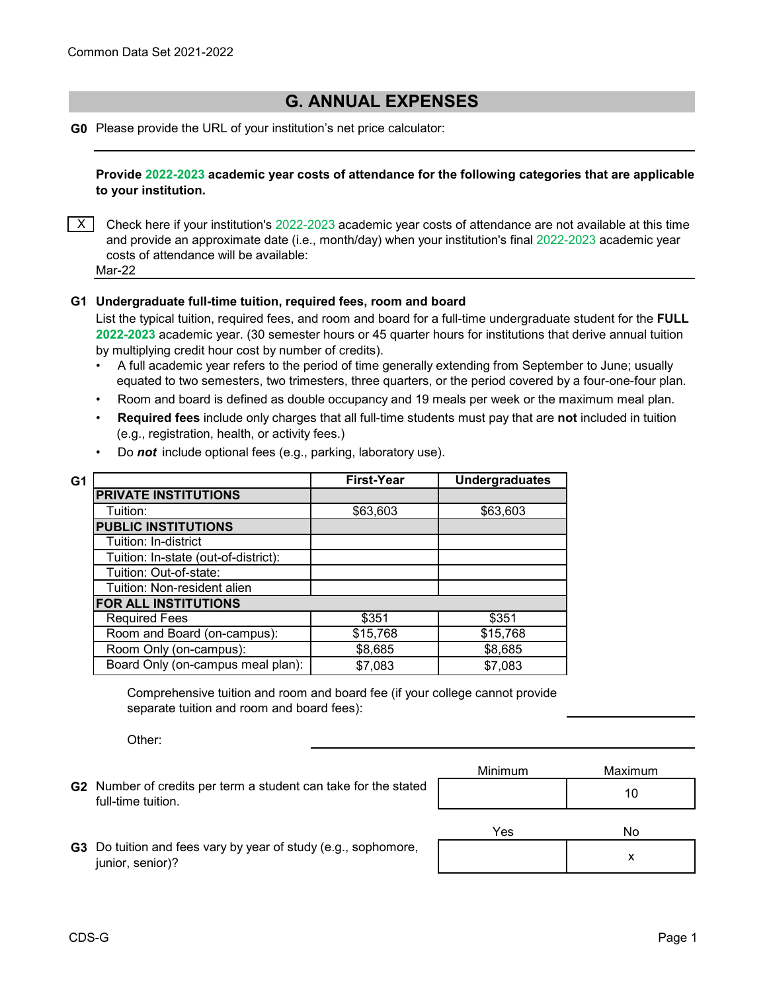## **G. ANNUAL EXPENSES**

**G0** Please provide the URL of your institution's net price calculator:

**Provide 2022-2023 academic year costs of attendance for the following categories that are applicable to your institution.**

 $\times$  Check here if your institution's 2022-2023 academic year costs of attendance are not available at this time and provide an approximate date (i.e., month/day) when your institution's final 2022-2023 academic year costs of attendance will be available:

Mar-22

## **G1 Undergraduate full-time tuition, required fees, room and board**

List the typical tuition, required fees, and room and board for a full-time undergraduate student for the **FULL 2022-2023** academic year. (30 semester hours or 45 quarter hours for institutions that derive annual tuition by multiplying credit hour cost by number of credits).

- •A full academic year refers to the period of time generally extending from September to June; usually equated to two semesters, two trimesters, three quarters, or the period covered by a four-one-four plan.
- Room and board is defined as double occupancy and 19 meals per week or the maximum meal plan.
- • **Required fees** include only charges that all full-time students must pay that are **not** included in tuition (e.g., registration, health, or activity fees.)

| G1 |                                      | <b>First-Year</b> | <b>Undergraduates</b> |
|----|--------------------------------------|-------------------|-----------------------|
|    | <b>PRIVATE INSTITUTIONS</b>          |                   |                       |
|    | Tuition:                             | \$63,603          | \$63,603              |
|    | <b>PUBLIC INSTITUTIONS</b>           |                   |                       |
|    | Tuition: In-district                 |                   |                       |
|    | Tuition: In-state (out-of-district): |                   |                       |
|    | Tuition: Out-of-state:               |                   |                       |
|    | Tuition: Non-resident alien          |                   |                       |
|    | FOR ALL INSTITUTIONS                 |                   |                       |
|    | <b>Required Fees</b>                 | \$351             | \$351                 |
|    | Room and Board (on-campus):          | \$15,768          | \$15,768              |
|    | Room Only (on-campus):               | \$8,685           | \$8,685               |
|    | Board Only (on-campus meal plan):    | \$7,083           | \$7,083               |

• Do *not* include optional fees (e.g., parking, laboratory use).

Comprehensive tuition and room and board fee (if your college cannot provide separate tuition and room and board fees):

Other:

**G2** Number of credits per term a student can take for the stated **of the stated** the stated of the state of the state of the state of the state of the state of the state of the state of the state of the state of the state full-time tuition.

| <b>Minimum</b> | Maximum |
|----------------|---------|
|                |         |

**G3** Do tuition and fees vary by year of study (e.g., sophomore, junior, senior)?

| Yes | No |
|-----|----|
|     |    |